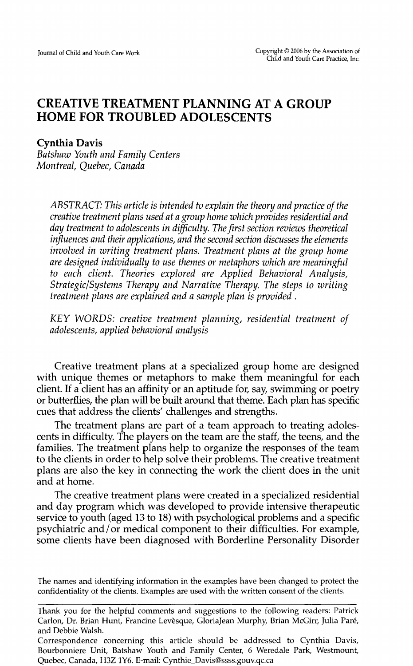# **CREATIVE TREATMENT PLANNING AT A GROUP HOME FOR TROUBLED ADOLESCENTS**

## **Cynthia Davis**

*Batshaw Youth and Family Centers Montreal, Quebec, Canada* 

*ABSTRACT: This article is intended to explain the theory and practice of the creative treatment plans used at a group home which provides residential and day treatment to adolescents in difficulty. The first section reviews theoretical influences and their applications, and the second section discusses the elements involved in writing treatment plans. Treatment plans at the group home are designed individually to use themes or metaphors which are meaningful to each client. Theories explored are Applied Behavioral Analysis, Strategic/Systems Therapy and Narrative Therapy. The steps to writing treatment plans are explained and a sample plan is provided.* 

*KEY WORDS: creative treatment planning, residential treatment of adolescents, applied behavioral analysis* 

Creative treatment plans at a specialized group home are designed with unique themes or metaphors to make them meaningful for each client. If a client has an affinity or an aptitude for, say, swimming or poetry or butterflies, the plan will be built around that theme. Each plan has specific cues that address the clients' challenges and strengths.

The treatment plans are part of a team approach to treating adolescents in difficulty. The players on the team are the staff, the teens, and the families. The treatment plans help to organize the responses of the team to the clients in order to help solve their problems. The creative treatment plans are also the key in connecting the work the client does in the unit and at home.

The creative treatment plans were created in a specialized residential and day program which was developed to provide intensive therapeutic service to youth (aged 13 to 18) with psychological problems and a specific psychiatric and/or medical component to their difficulties. For example, some clients have been diagnosed with Borderline Personality Disorder

The names and identifying information in the examples have been changed to protect the confidentiality of the clients. Examples are used with the written consent of the clients.

Thank you for the helpful comments and suggestions to the following readers: Patrick Carlon, Dr. Brian Hunt, Francine Levesque, GloriaJean Murphy, Brian McGirr, Julia Pare, and Debbie Walsh.

Correspondence concerning this article should be addressed to Cynthia Davis, Bourbonniere Unit, Batshaw Youth and Family Center, 6 Weredale Park, Westmount, Quebec, Canada, H3Z 1Y6. E-mail: Cynthie\_Davis@ssss.gouv.qc.ca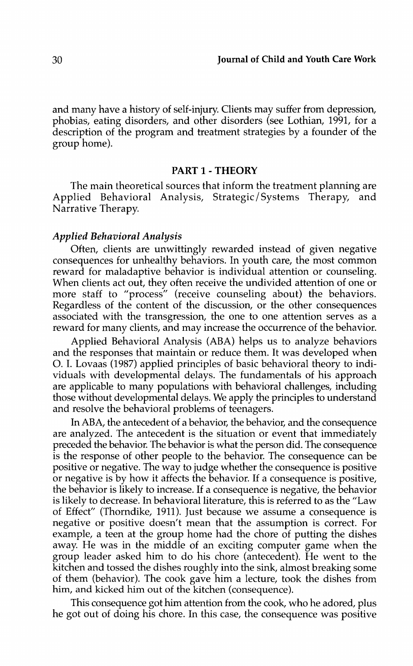and many have a history of self-injury. Clients may suffer from depression, phobias, eating disorders, and other disorders (see Lothian, 1991, for a description of the program and treatment strategies by a founder of the group home).

## PART 1 -THEORY

The main theoretical sources that inform the treatment planning are Applied Behavioral Analysis, Strategic/Systems Therapy, and Narrative Therapy.

### *Applied Behavioral Analysis*

Often, clients are unwittingly rewarded instead of given negative consequences for unhealthy behaviors. In youth care, the most common reward for maladaptive behavior is individual attention or counseling. When clients act out, they often receive the undivided attention of one or more staff to "process" (receive counseling about) the behaviors. Regardless of the content of the discussion, or the other consequences associated with the transgression, the one to one attention serves as a reward for many clients, and may increase the occurrence of the behavior.

Applied Behavioral Analysis (ABA) helps us to analyze behaviors and the responses that maintain or reduce them. It was developed when 0. I. Lovaas (1987) applied principles of basic behavioral theory to individuals with developmental delays. The fundamentals of his approach are applicable to many populations with behavioral challenges, including those without developmental delays. We apply the principles to understand and resolve the behavioral problems of teenagers.

In ABA, the antecedent of a behavior, the behavior, and the consequence are analyzed. The antecedent is the situation or event that immediately preceded the behavior. The behavior is what the person did. The consequence is the response of other people to the behavior. The consequence can be positive or negative. The way to judge whether the consequence is positive or negative is by how it affects the behavior. If a consequence is positive, the behavior is likely to increase. If a consequence is negative, the behavior is likely to decrease. In behavioral literature, this is referred to as the "Law of Effect" (Thorndike, 1911). Just because we assume a consequence is negative or positive doesn't mean that the assumption is correct. For example, a teen at the group home had the chore of putting the dishes away. He was in the middle of an exciting computer game when the group leader asked him to do his chore (antecedent). He went to the kitchen and tossed the dishes roughly into the sink, almost breaking some of them (behavior). The cook gave him a lecture, took the dishes from him, and kicked him out of the kitchen (consequence).

This consequence got him attention from the cook, who he adored, plus he got out of doing his chore. In this case, the consequence was positive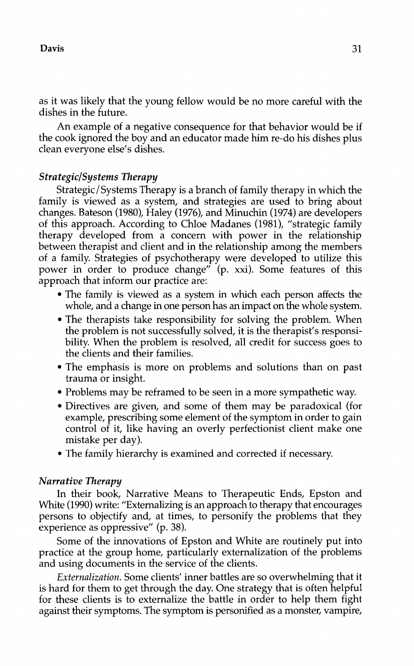as it was likely that the young fellow would be no more careful with the dishes in the future.

An example of a negative consequence for that behavior would be if the cook ignored the boy and an educator made him re-do his dishes plus clean everyone else's dishes.

## *Strategic/Systems Therapy*

Strategic/Systems Therapy is a branch of family therapy in which the family is viewed as a system, and strategies are used to bring about changes. Bateson (1980), Haley (1976), and Minuchin (1974) are developers of this approach. According to Chloe Madanes (1981), "strategic family therapy developed from a concern with power in the relationship between therapist and client and in the relationship among the members of a family. Strategies of psychotherapy were developed to utilize this power in order to produce change" (p. xxi). Some features of this approach that inform our practice are:

- The family is viewed as a system in which each person affects the whole, and a change in one person has an impact on the whole system.
- The therapists take responsibility for solving the problem. When the problem is not successfully solved, it is the therapist's responsibility. When the problem is resolved, all credit for success goes to the clients and their families.
- The emphasis is more on problems and solutions than on past trauma or insight.
- Problems may be reframed to be seen in a more sympathetic way.
- Directives are given, and some of them may be paradoxical (for example, prescribing some element of the symptom in order to gain control of it, like having an overly perfectionist client make one mistake per day).
- The family hierarchy is examined and corrected if necessary.

## *Narrative Therapy*

In their book, Narrative Means to Therapeutic Ends, Epston and White (1990) write: "Externalizing is an approach to therapy that encourages persons to objectify and, at times, to personify the problems that they experience as oppressive" (p. 38).

Some of the innovations of Epston and White are routinely put into practice at the group home, particularly externalization of the problems and using documents in the service of the clients.

*Externalization.* Some clients' inner battles are so overwhelming that it is hard for them to get through the day. One strategy that is often helpful for these clients is to externalize the battle in order to help them fight against their symptoms. The symptom is personified as a monster, vampire,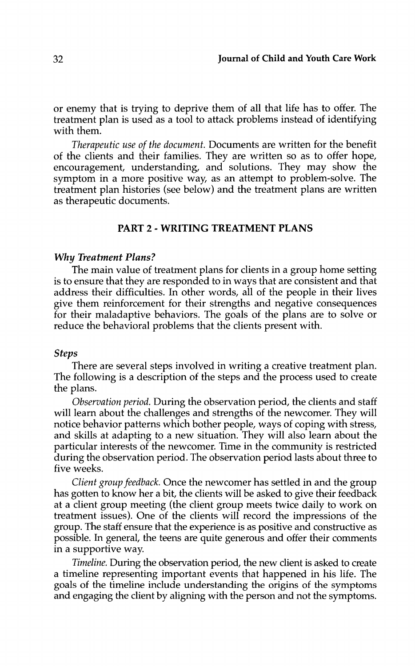or enemy that is trying to deprive them of all that life has to offer. The treatment plan is used as a tool to attack problems instead of identifying with them.

*Therapeutic use of the document.* Documents are written for the benefit of the clients and their families. They are written so as to offer hope, encouragement, understanding, and solutions. They may show the symptom in a more positive way, as an attempt to problem-solve. The treatment plan histories (see below) and the treatment plans are written as therapeutic documents.

## PART 2 - WRITING TREATMENT PLANS

#### Why *Treatment Plans?*

The main value of treatment plans for clients in a group home setting is to ensure that they are responded to in ways that are consistent and that address their difficulties. In other words, all of the people in their lives give them reinforcement for their strengths and negative consequences for their maladaptive behaviors. The goals of the plans are to solve or reduce the behavioral problems that the clients present with.

#### *Steps*

There are several steps involved in writing a creative treatment plan. The following is a description of the steps and the process used to create the plans.

*Observation period.* During the observation period, the clients and staff will learn about the challenges and strengths of the newcomer. They will notice behavior patterns which bother people, ways of coping with stress, and skills at adapting to a new situation. They will also learn about the particular interests of the newcomer. Time in the community is restricted during the observation period. The observation period lasts about three to five weeks.

*Client group feedback.* Once the newcomer has settled in and the group has gotten to know her a bit, the clients will be asked to give their feedback at a client group meeting (the client group meets twice daily to work on treatment issues). One of the clients will record the impressions of the group. The staff ensure that the experience is as positive and constructive as possible. In general, the teens are quite generous and offer their comments in a supportive way.

*Timeline.* During the observation period, the new client is asked to create a timeline representing important events that happened in his life. The goals of the timeline include understanding the origins of the symptoms and engaging the client by aligning with the person and not the symptoms.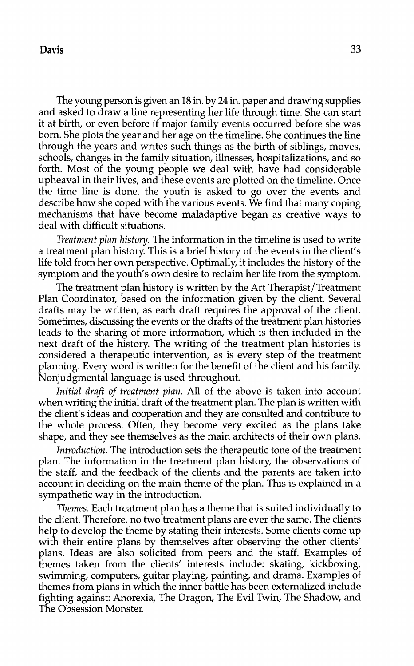## **Davis** 33

The young person is given an 18 in. by 24 in. paper and drawing supplies and asked to draw a line representing her life through time. She can start it at birth, or even before if major family events occurred before she was born. She plots the year and her age on the timeline. She continues the line through the years and writes such things as the birth of siblings, moves, schools, changes in the family situation, illnesses, hospitalizations, and so forth. Most of the young people we deal with have had considerable upheaval in their lives, and these events are plotted on the timeline. Once the time line is done, the youth is asked to go over the events and describe how she coped with the various events. We find that many coping mechanisms that have become maladaptive began as creative ways to deal with difficult situations.

*Treatment plan history.* The information in the timeline is used to write a treatment plan history. This is a brief history of the events in the client's life told from her own perspective. Optimally, it includes the history of the symptom and the youth's own desire to reclaim her life from the symptom.

The treatment plan history is written by the Art Therapist/Treatment Plan Coordinator, based on the information given by the client. Several drafts may be written, as each draft requires the approval of the client. Sometimes, discussing the events or the drafts of the treatment plan histories leads to the sharing of more information, which is then included in the next draft of the history. The writing of the treatment plan histories is considered a therapeutic intervention, as is every step of the treatment planning. Every word is written for the benefit of the client and his family. Nonjudgmental language is used throughout.

*Initial draft of treatment plan.* All of the above is taken into account when writing the initial draft of the treatment plan. The plan is written with the client's ideas and cooperation and they are consulted and contribute to the whole process. Often, they become very excited as the plans take shape, and they see themselves as the main architects of their own plans.

*Introduction.* The introduction sets the therapeutic tone of the treatment plan. The information in the treatment plan history, the observations of the staff, and the feedback of the clients and the parents are taken into account in deciding on the main theme of the plan. This is explained in a sympathetic way in the introduction.

*Themes.* Each treatment plan has a theme that is suited individually to the client. Therefore, no two treatment plans are ever the same. The clients help to develop the theme by stating their interests. Some clients come up with their entire plans by themselves after observing the other clients' plans. Ideas are also solicited from peers and the staff. Examples of themes taken from the clients' interests include: skating, kickboxing, swimming, computers, guitar playing, painting, and drama. Examples of themes from plans in which the inner battle has been externalized include fighting against: Anorexia, The Dragon, The Evil Twin, The Shadow, and The Obsession Monster.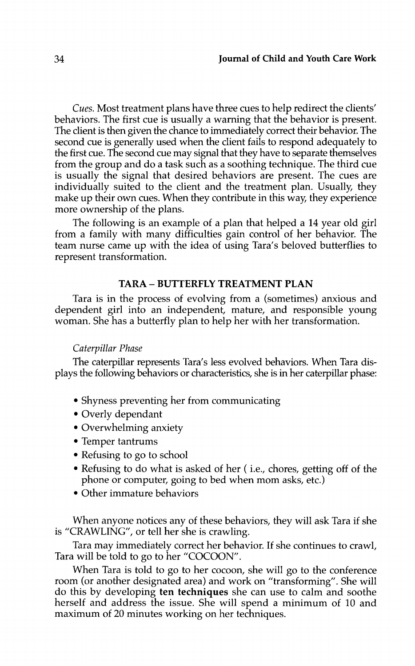*Cues.* Most treatment plans have three cues to help redirect the clients' behaviors. The first cue is usually a warning that the behavior is present. The client is then given the chance to immediately correct their behavior. The second cue is generally used when the client fails to respond adequately to the first cue. The second cue may signal that they have to separate themselves from the group and do a task such as a soothing technique. The third cue is usually the signal that desired behaviors are present. The cues are individually suited to the client and the treatment plan. Usually, they make up their own cues. When they contribute in this way, they experience more ownership of the plans.

The following is an example of a plan that helped a 14 year old girl from a family with many difficulties gain control of her behavior. The team nurse came up with the idea of using Tara's beloved butterflies to represent transformation.

## TARA- BUTTERFLY TREATMENT PLAN

Tara is in the process of evolving from a (sometimes) anxious and dependent girl into an independent, mature, and responsible young woman. She has a butterfly plan to help her with her transformation.

#### *Caterpillar Phase*

The caterpillar represents Tara's less evolved behaviors. When Tara displays the following behaviors or characteristics, she is in her caterpillar phase:

- Shyness preventing her from communicating
- Overly dependant
- Overwhelming anxiety
- Temper tantrums
- Refusing to go to school
- Refusing to do what is asked of her ( i.e., chores, getting off of the phone or computer, going to bed when mom asks, etc.)
- Other immature behaviors

When anyone notices any of these behaviors, they will ask Tara if she is "CRAWLING", or tell her she is crawling.

Tara may immediately correct her behavior. If she continues to crawl, Tara will be told to go to her "COCOON".

When Tara is told to go to her cocoon, she will go to the conference room (or another designated area) and work on "transforming". She will do this by developing ten techniques she can use to calm and soothe herself and address the issue. She will spend a minimum of 10 and maximum of 20 minutes working on her techniques.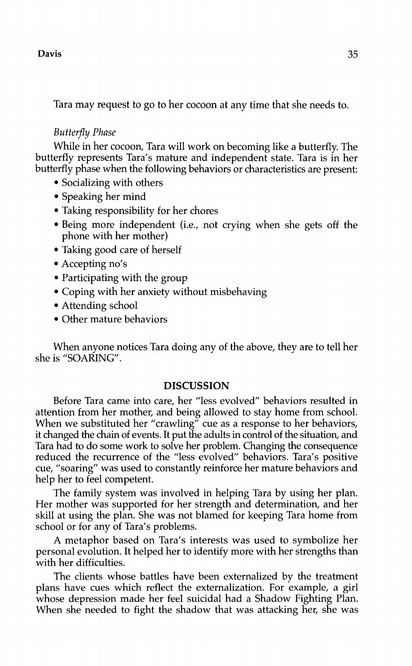## $Davis$   $35$

Tara may request to go to her cocoon at any time that she needs to.

### *Butterfly Phase*

While in her cocoon, Tara will work on becoming like a butterfly. The butterfly represents Tara's mature and independent state. Tara is in her butterfly phase when the following behaviors or characteristics are present:

- Socializing with others
- Speaking her mind
- Taking responsibility for her chores
- Being more independent (i.e., not crying when she gets off the phone with her mother)
- Taking good care of herself
- Accepting no's
- Participating with the group
- Coping with her anxiety without misbehaving
- Attending school
- Other mature behaviors

When anyone notices Tara doing any of the above, they are to tell her she is "SOARING".

## **DISCUSSION**

Before Tara came into care, her "less evolved" behaviors resulted in attention from her mother, and being allowed to stay home from school. When we substituted her "crawling" cue as a response to her behaviors, it changed the chain of events. It put the adults in control of the situation, and Tara had to do some work to solve her problem. Changing the consequence reduced the recurrence of the "less evolved" behaviors. Tara's positive cue, "soaring" was used to constantly reinforce her mature behaviors and help her to feel competent.

The family system was involved in helping Tara by using her plan. Her mother was supported for her strength and determination, and her skill at using the plan. She was not blamed for keeping Tara home from school or for any of Tara's problems.

A metaphor based on Tara's interests was used to symbolize her personal evolution. It helped her to identify more with her strengths than with her difficulties.

The clients whose battles have been externalized by the treatment plans have cues which reflect the externalization. For example, a girl whose depression made her feel suicidal had a Shadow Fighting Plan. When she needed to fight the shadow that was attacking her, she was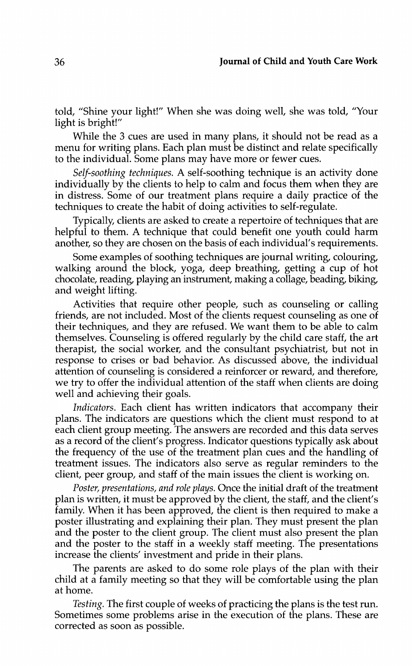told, "Shine your light!" When she was doing well, she was told, "Your light is bright!"

While the 3 cues are used in many plans, it should not be read as a menu for writing plans. Each plan must be distinct and relate specifically to the individual. Some plans may have more or fewer cues.

*Self-soothing techniques.* A self-soothing technique is an activity done individually by the clients to help to calm and focus them when they are in distress. Some of our treatment plans require a daily practice of the techniques to create the habit of doing activities to self-regulate.

Typically, clients are asked to create a repertoire of techniques that are helpful to them. A technique that could benefit one youth could harm another, so they are chosen on the basis of each individual's requirements.

Some examples of soothing techniques are journal writing, colouring, walking around the block, yoga, deep breathing, getting a cup of hot chocolate, reading, playing an instrument, making a collage, beading, biking, and weight lifting.

Activities that require other people, such as counseling or calling friends, are not included. Most of the clients request counseling as one of their techniques, and they are refused. We want them to be able to calm themselves. Counseling is offered regularly by the child care staff, the art therapist, the social worker, and the consultant psychiatrist, but not in response to crises or bad behavior. As discussed above, the individual attention of counseling is considered a reinforcer or reward, and therefore, we try to offer the individual attention of the staff when clients are doing well and achieving their goals.

*Indicators.* Each client has written indicators that accompany their plans. The indicators are questions which the client must respond to at each client group meeting. The answers are recorded and this data serves as a record of the client's progress. Indicator questions typically ask about the frequency of the use of the treatment plan cues and the handling of treatment issues. The indicators also serve as regular reminders to the client, peer group, and staff of the main issues the client is working on.

*Poster, presentations, and role plays.* Once the initial draft of the treatment plan is written, it must be approved by the client, the staff, and the client's family. When it has been approved, the client is then required to make a poster illustrating and explaining their plan. They must present the plan and the poster to the client group. The client must also present the plan and the poster to the staff in a weekly staff meeting. The presentations increase the clients' investment and pride in their plans.

The parents are asked to do some role plays of the plan with their child at a family meeting so that they will be comfortable using the plan at home.

*Testing.* The first couple of weeks of practicing the plans is the test run. Sometimes some problems arise in the execution of the plans. These are corrected as soon as possible.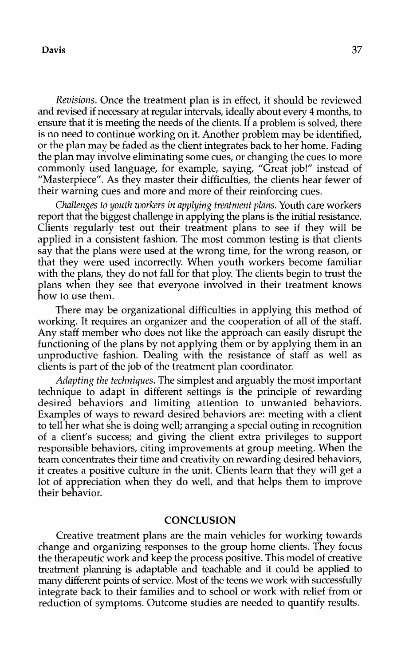## Davis 37

*Revisions.* Once the treatment plan is in effect, it should be reviewed and revised if necessary at regular intervals, ideally about every 4 months, to ensure that it is meeting the needs of the clients. If a problem is solved, there is no need to continue working on it. Another problem may be identified, or the plan may be faded as the client integrates back to her home. Fading the plan may involve eliminating some cues, or changing the cues to more commonly used language, for example, saying, "Great job!" instead of "Masterpiece". As they master their difficulties, the clients hear fewer of their warning cues and more and more of their reinforcing cues.

*Challenges to youth workers in applying treatment plans.* Youth care workers report that the biggest challenge in applying the plans is the initial resistance. Clients regularly test out their treatment plans to see if they will be applied in a consistent fashion. The most common testing is that clients say that the plans were used at the wrong time, for the wrong reason, or that they were used incorrectly. When youth workers become familiar with the plans, they do not fall for that ploy. The clients begin to trust the plans when they see that everyone involved in their treatment knows how to use them.

There may be organizational difficulties in applying this method of working. It requires an organizer and the cooperation of all of the staff. Any staff member who does not like the approach can easily disrupt the functioning of the plans by not applying them or by applying them in an unproductive fashion. Dealing with the resistance of staff as well as clients is part of the job of the treatment plan coordinator.

*Adapting the techniques.* The simplest and arguably the most important technique to adapt in different settings is the principle of rewarding desired behaviors and limiting attention to unwanted behaviors. Examples of ways to reward desired behaviors are: meeting with a client to tell her what she is doing well; arranging a special outing in recognition of a client's success; and giving the client extra privileges to support responsible behaviors, citing improvements at group meeting. When the team concentrates their time and creativity on rewarding desired behaviors, it creates a positive culture in the unit. Clients learn that they will get a lot of appreciation when they do well, and that helps them to improve their behavior.

## **CONCLUSION**

Creative treatment plans are the main vehicles for working towards change and organizing responses to the group home clients. They focus the therapeutic work and keep the process positive. This model of creative treatment planning is adaptable and teachable and it could be applied to many different points of service. Most of the teens we work with successfully integrate back to their families and to school or work with relief from or reduction of symptoms. Outcome studies are needed to quantify results.